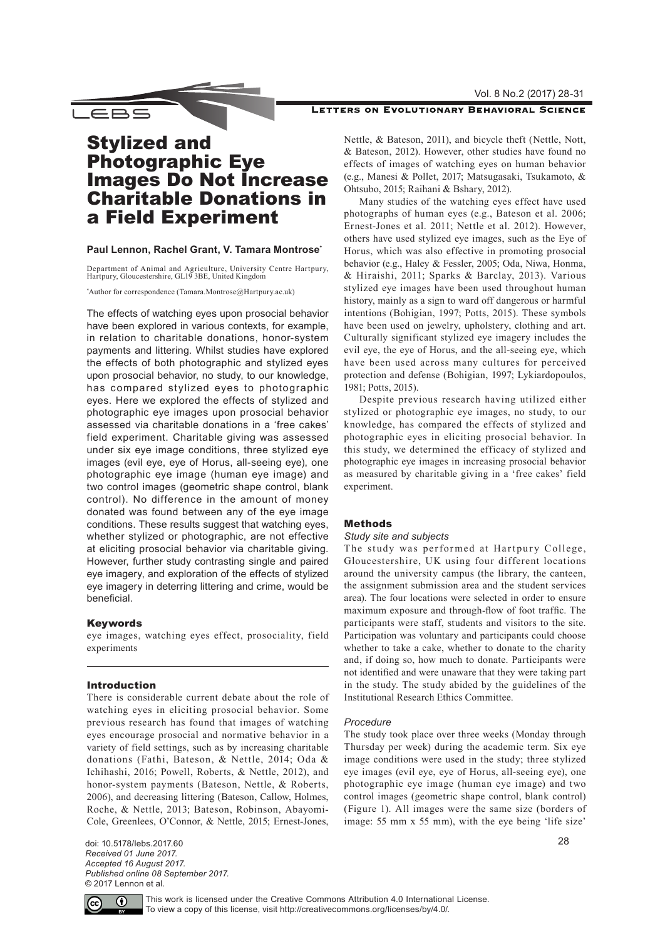Vol. 8 No.2 (2017) 28-31

# LETTERS ON EVOLUTIONARY BEHAVIORAL SCIENCE

\_∈BS

# Stylized and Photographic Eye Images Do Not Increase Charitable Donations in a Field Experiment

# **Paul Lennon, Rachel Grant, V. Tamara Montrose\***

Department of Animal and Agriculture, University Centre Hartpury, Hartpury, Gloucestershire, GL19 3BE, United Kingdom

\* Author for correspondence ([Tamara.Montrose@Hartpury.ac.uk](mailto:Tamara.Montrose%40Hartpury.ac.uk?subject=))

The effects of watching eyes upon prosocial behavior have been explored in various contexts, for example, in relation to charitable donations, honor-system payments and littering. Whilst studies have explored the effects of both photographic and stylized eyes upon prosocial behavior, no study, to our knowledge, has compared stylized eyes to photographic eyes. Here we explored the effects of stylized and photographic eye images upon prosocial behavior assessed via charitable donations in a 'free cakes' field experiment. Charitable giving was assessed under six eye image conditions, three stylized eye images (evil eye, eye of Horus, all-seeing eye), one photographic eye image (human eye image) and two control images (geometric shape control, blank control). No difference in the amount of money donated was found between any of the eye image conditions. These results suggest that watching eyes, whether stylized or photographic, are not effective at eliciting prosocial behavior via charitable giving. However, further study contrasting single and paired eye imagery, and exploration of the effects of stylized eye imagery in deterring littering and crime, would be beneficial.

# Keywords

eye images, watching eyes effect, prosociality, field experiments

# Introduction

There is considerable current debate about the role of watching eyes in eliciting prosocial behavior. Some previous research has found that images of watching eyes encourage prosocial and normative behavior in a variety of field settings, such as by increasing charitable donations (Fathi, Bateson, & Nettle, 2014; Oda & Ichihashi, 2016; Powell, Roberts, & Nettle, 2012), and honor-system payments (Bateson, Nettle, & Roberts, 2006), and decreasing littering (Bateson, Callow, Holmes, Roche, & Nettle, 2013; Bateson, Robinson, Abayomi-Cole, Greenlees, O'Connor, & Nettle, 2015; Ernest-Jones,

doi: 10.5178/lebs.2017.60 *Received 01 June 2017. Accepted 16 August 2017. Published online 08 September 2017.* © 2017 Lennon et al.

Nettle, & Bateson, 2011), and bicycle theft (Nettle, Nott, & Bateson, 2012). However, other studies have found no effects of images of watching eyes on human behavior (e.g., Manesi & Pollet, 2017; Matsugasaki, Tsukamoto, & Ohtsubo, 2015; Raihani & Bshary, 2012).

Many studies of the watching eyes effect have used photographs of human eyes (e.g., Bateson et al. 2006; Ernest-Jones et al. 2011; Nettle et al. 2012). However, others have used stylized eye images, such as the Eye of Horus, which was also effective in promoting prosocial behavior (e.g., Haley & Fessler, 2005; Oda, Niwa, Honma, & Hiraishi, 2011; Sparks & Barclay, 2013). Various stylized eye images have been used throughout human history, mainly as a sign to ward off dangerous or harmful intentions (Bohigian, 1997; Potts, 2015). These symbols have been used on jewelry, upholstery, clothing and art. Culturally significant stylized eye imagery includes the evil eye, the eye of Horus, and the all-seeing eye, which have been used across many cultures for perceived protection and defense (Bohigian, 1997; Lykiardopoulos, 1981; Potts, 2015).

Despite previous research having utilized either stylized or photographic eye images, no study, to our knowledge, has compared the effects of stylized and photographic eyes in eliciting prosocial behavior. In this study, we determined the efficacy of stylized and photographic eye images in increasing prosocial behavior as measured by charitable giving in a 'free cakes' field experiment.

# Methods

## *Study site and subjects*

The study was performed at Hartpury College, Gloucestershire, UK using four different locations around the university campus (the library, the canteen, the assignment submission area and the student services area). The four locations were selected in order to ensure maximum exposure and through-flow of foot traffic. The participants were staff, students and visitors to the site. Participation was voluntary and participants could choose whether to take a cake, whether to donate to the charity and, if doing so, how much to donate. Participants were not identified and were unaware that they were taking part in the study. The study abided by the guidelines of the Institutional Research Ethics Committee.

## *Procedure*

The study took place over three weeks (Monday through Thursday per week) during the academic term. Six eye image conditions were used in the study; three stylized eye images (evil eye, eye of Horus, all-seeing eye), one photographic eye image (human eye image) and two control images (geometric shape control, blank control) (Figure 1). All images were the same size (borders of image: 55 mm x 55 mm), with the eye being 'life size'



This work is licensed under the Creative Commons Attribution 4.0 International License. To view a copy of this license, visit <http://creativecommons.org/licenses/by/4.0/>.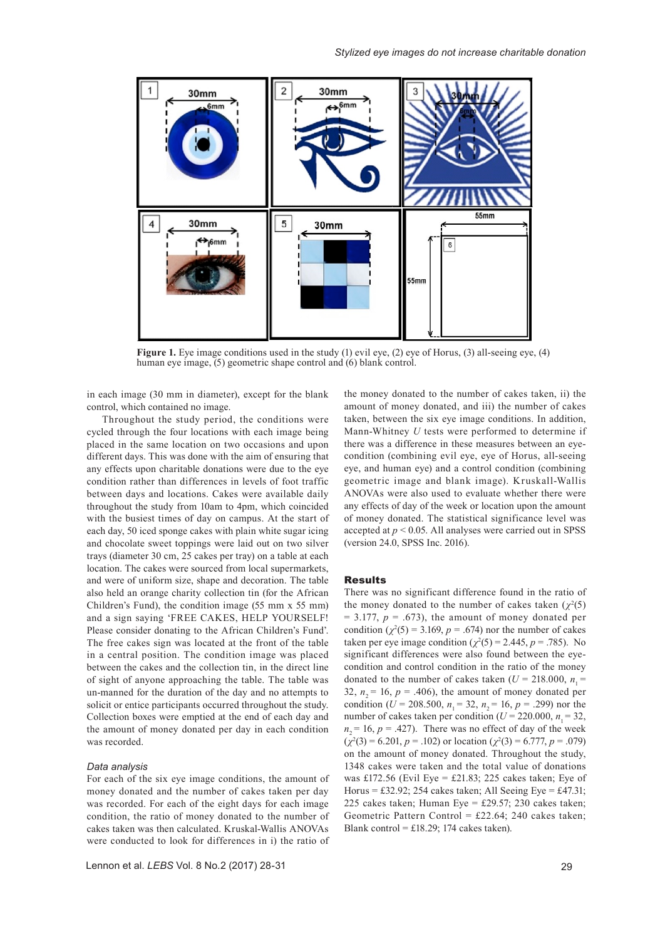

**Figure 1.** Eye image conditions used in the study (1) evil eye, (2) eye of Horus, (3) all-seeing eye, (4) human eye image, (5) geometric shape control and (6) blank control.

in each image (30 mm in diameter), except for the blank control, which contained no image.

Throughout the study period, the conditions were cycled through the four locations with each image being placed in the same location on two occasions and upon different days. This was done with the aim of ensuring that any effects upon charitable donations were due to the eye condition rather than differences in levels of foot traffic between days and locations. Cakes were available daily throughout the study from 10am to 4pm, which coincided with the busiest times of day on campus. At the start of each day, 50 iced sponge cakes with plain white sugar icing and chocolate sweet toppings were laid out on two silver trays (diameter 30 cm, 25 cakes per tray) on a table at each location. The cakes were sourced from local supermarkets, and were of uniform size, shape and decoration. The table also held an orange charity collection tin (for the African Children's Fund), the condition image (55 mm x 55 mm) and a sign saying 'FREE CAKES, HELP YOURSELF! Please consider donating to the African Children's Fund'. The free cakes sign was located at the front of the table in a central position. The condition image was placed between the cakes and the collection tin, in the direct line of sight of anyone approaching the table. The table was un-manned for the duration of the day and no attempts to solicit or entice participants occurred throughout the study. Collection boxes were emptied at the end of each day and the amount of money donated per day in each condition was recorded.

#### *Data analysis*

For each of the six eye image conditions, the amount of money donated and the number of cakes taken per day was recorded. For each of the eight days for each image condition, the ratio of money donated to the number of cakes taken was then calculated. Kruskal-Wallis ANOVAs were conducted to look for differences in i) the ratio of the money donated to the number of cakes taken, ii) the amount of money donated, and iii) the number of cakes taken, between the six eye image conditions. In addition, Mann-Whitney *U* tests were performed to determine if there was a difference in these measures between an eyecondition (combining evil eye, eye of Horus, all-seeing eye, and human eye) and a control condition (combining geometric image and blank image). Kruskall-Wallis ANOVAs were also used to evaluate whether there were any effects of day of the week or location upon the amount of money donated. The statistical significance level was accepted at  $p < 0.05$ . All analyses were carried out in SPSS (version 24.0, SPSS Inc. 2016).

#### Results

There was no significant difference found in the ratio of the money donated to the number of cakes taken  $(\chi^2(5))$  $= 3.177$ ,  $p = .673$ ), the amount of money donated per condition  $(\chi^2(5) = 3.169, p = .674)$  nor the number of cakes taken per eye image condition  $(\chi^2(5) = 2.445, p = .785)$ . No significant differences were also found between the eyecondition and control condition in the ratio of the money donated to the number of cakes taken  $(U = 218.000, n)$ 32,  $n<sub>o</sub> = 16$ ,  $p = .406$ ), the amount of money donated per condition ( $U = 208.500$ ,  $n_1 = 32$ ,  $n_2 = 16$ ,  $p = .299$ ) nor the number of cakes taken per condition ( $U = 220.000$ ,  $n_1 = 32$ ,  $n_2 = 16$ ,  $p = .427$ ). There was no effect of day of the week  $(\chi^2(3) = 6.201, p = .102)$  or location  $(\chi^2(3) = 6.777, p = .079)$ on the amount of money donated. Throughout the study, 1348 cakes were taken and the total value of donations was £172.56 (Evil Eye = £21.83; 225 cakes taken; Eye of Horus = £32.92; 254 cakes taken; All Seeing Eye = £47.31; 225 cakes taken; Human Eye = £29.57; 230 cakes taken; Geometric Pattern Control = £22.64; 240 cakes taken; Blank control =  $£18.29$ ; 174 cakes taken).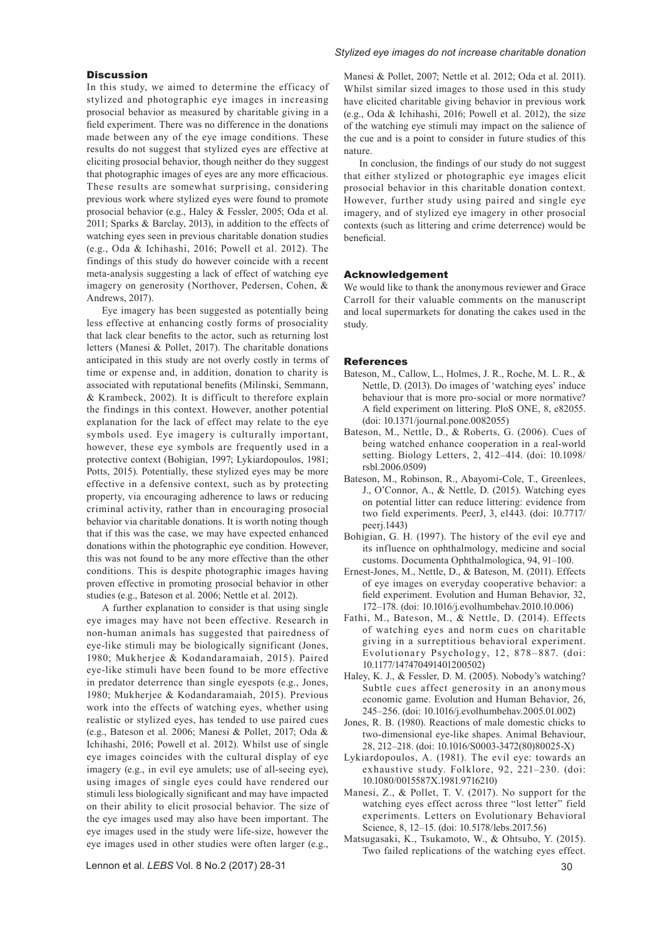## **Discussion**

In this study, we aimed to determine the efficacy of stylized and photographic eye images in increasing prosocial behavior as measured by charitable giving in a field experiment. There was no difference in the donations made between any of the eye image conditions. These results do not suggest that stylized eyes are effective at eliciting prosocial behavior, though neither do they suggest that photographic images of eyes are any more efficacious. These results are somewhat surprising, considering previous work where stylized eyes were found to promote prosocial behavior (e.g., Haley & Fessler, 2005; Oda et al. 2011; Sparks & Barclay, 2013), in addition to the effects of watching eyes seen in previous charitable donation studies (e.g., Oda & Ichihashi, 2016; Powell et al. 2012). The findings of this study do however coincide with a recent meta-analysis suggesting a lack of effect of watching eye imagery on generosity (Northover, Pedersen, Cohen, & Andrews, 2017).

Eye imagery has been suggested as potentially being less effective at enhancing costly forms of prosociality that lack clear benefits to the actor, such as returning lost letters (Manesi & Pollet, 2017). The charitable donations anticipated in this study are not overly costly in terms of time or expense and, in addition, donation to charity is associated with reputational benefits (Milinski, Semmann, & Krambeck, 2002). It is difficult to therefore explain the findings in this context. However, another potential explanation for the lack of effect may relate to the eye symbols used. Eye imagery is culturally important, however, these eye symbols are frequently used in a protective context (Bohigian, 1997; Lykiardopoulos, 1981; Potts, 2015). Potentially, these stylized eyes may be more effective in a defensive context, such as by protecting property, via encouraging adherence to laws or reducing criminal activity, rather than in encouraging prosocial behavior via charitable donations. It is worth noting though that if this was the case, we may have expected enhanced donations within the photographic eye condition. However, this was not found to be any more effective than the other conditions. This is despite photographic images having proven effective in promoting prosocial behavior in other studies (e.g., Bateson et al. 2006; Nettle et al. 2012).

A further explanation to consider is that using single eye images may have not been effective. Research in non-human animals has suggested that pairedness of eye-like stimuli may be biologically significant (Jones, 1980; Mukherjee & Kodandaramaiah, 2015). Paired eye-like stimuli have been found to be more effective in predator deterrence than single eyespots (e.g., Jones, 1980; Mukherjee & Kodandaramaiah, 2015). Previous work into the effects of watching eyes, whether using realistic or stylized eyes, has tended to use paired cues (e.g., Bateson et al. 2006; Manesi & Pollet, 2017; Oda & Ichihashi, 2016; Powell et al. 2012). Whilst use of single eye images coincides with the cultural display of eye imagery (e.g., in evil eye amulets; use of all-seeing eye), using images of single eyes could have rendered our stimuli less biologically significant and may have impacted on their ability to elicit prosocial behavior. The size of the eye images used may also have been important. The eye images used in the study were life-size, however the eye images used in other studies were often larger (e.g.,

#### *Stylized eye images do not increase charitable donation*

Manesi & Pollet, 2007; Nettle et al. 2012; Oda et al. 2011). Whilst similar sized images to those used in this study have elicited charitable giving behavior in previous work (e.g., Oda & Ichihashi, 2016; Powell et al. 2012), the size of the watching eye stimuli may impact on the salience of the cue and is a point to consider in future studies of this nature.

In conclusion, the findings of our study do not suggest that either stylized or photographic eye images elicit prosocial behavior in this charitable donation context. However, further study using paired and single eye imagery, and of stylized eye imagery in other prosocial contexts (such as littering and crime deterrence) would be beneficial.

# Acknowledgement

We would like to thank the anonymous reviewer and Grace Carroll for their valuable comments on the manuscript and local supermarkets for donating the cakes used in the study.

#### References

- Bateson, M., Callow, L., Holmes, J. R., Roche, M. L. R., & Nettle, D. (2013). Do images of 'watching eyes' induce behaviour that is more pro-social or more normative? A field experiment on littering. PloS ONE, 8, e82055. [\(doi: 10.1371/journal.pone.0082055\)](https://doi.org/10.1371/journal.pone.0082055)
- Bateson, M., Nettle, D., & Roberts, G. (2006). Cues of being watched enhance cooperation in a real-world setting. Biology Letters, 2, 412–414. ([doi: 10.1098/](https://doi.org/10.1098/rsbl.2006.0509) [rsbl.2006.0509\)](https://doi.org/10.1098/rsbl.2006.0509)
- Bateson, M., Robinson, R., Abayomi-Cole, T., Greenlees, J., O'Connor, A., & Nettle, D. (2015). Watching eyes on potential litter can reduce littering: evidence from two field experiments. PeerJ, 3, e1443. [\(doi: 10.7717/](https://doi.org/10.7717/peerj.1443) [peerj.1443\)](https://doi.org/10.7717/peerj.1443)
- Bohigian, G. H. (1997). The history of the evil eye and its influence on ophthalmology, medicine and social customs. Documenta Ophthalmologica, 94, 91–100.
- Ernest-Jones, M., Nettle, D., & Bateson, M. (2011). Effects of eye images on everyday cooperative behavior: a field experiment. Evolution and Human Behavior, 32, 172–178. [\(doi: 10.1016/j.evolhumbehav.2010.10.006](https://doi.org/10.1016/j.evolhumbehav.2010.10.006))
- Fathi, M., Bateson, M., & Nettle, D. (2014). Effects of watching eyes and norm cues on charitable giving in a surreptitious behavioral experiment. Evolutionary Psychology, 12, 878–887. ([doi:](https://doi.org/10.1177/147470491401200502)  [10.1177/147470491401200502](https://doi.org/10.1177/147470491401200502))
- Haley, K. J., & Fessler, D. M. (2005). Nobody's watching? Subtle cues affect generosity in an anonymous economic game. Evolution and Human Behavior, 26, 245–256. [\(doi: 10.1016/j.evolhumbehav.2005.01.002](https://doi.org/10.1016/j.evolhumbehav.2005.01.002))
- Jones, R. B. (1980). Reactions of male domestic chicks to two-dimensional eye-like shapes. Animal Behaviour, 28, 212–218. [\(doi: 10.1016/S0003-3472\(80\)80025-X](https://doi.org/10.1016/S0003-3472(80)80025-X))
- Lykiardopoulos, A. (1981). The evil eye: towards an exhaustive study. Folklore, 92, 221–230. [\(doi:](https://doi.org/10.1080/0015587X.1981.9716210)  [10.1080/0015587X.1981.9716210\)](https://doi.org/10.1080/0015587X.1981.9716210)
- Manesi, Z., & Pollet, T. V. (2017). No support for the watching eyes effect across three "lost letter" field experiments. Letters on Evolutionary Behavioral Science, 8, 12–15. [\(doi: 10.5178/lebs.2017.56\)](https://doi.org/10.5178/lebs.2017.56)
- Matsugasaki, K., Tsukamoto, W., & Ohtsubo, Y. (2015). Two failed replications of the watching eyes effect.